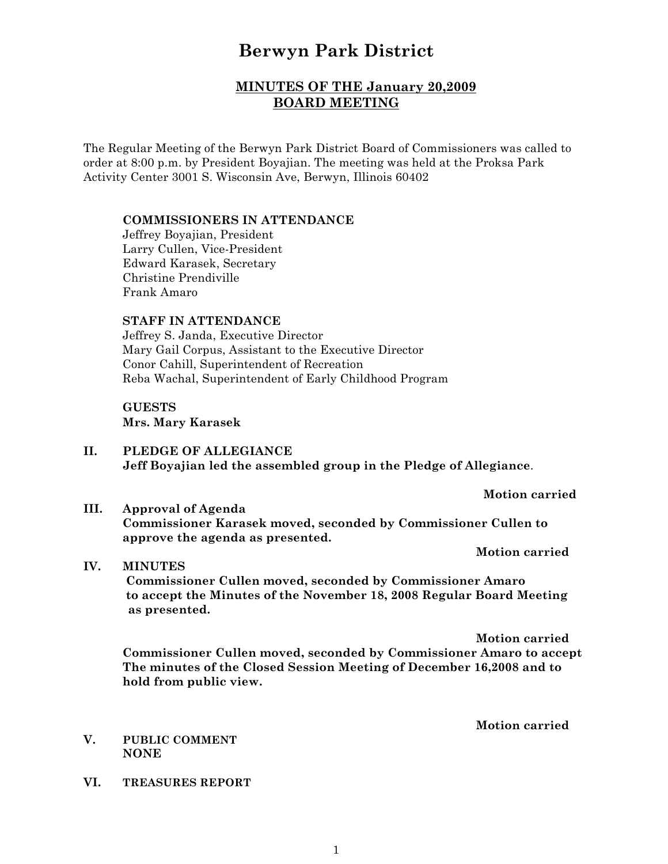# **Berwyn Park District**

# **MINUTES OF THE January 20,2009 BOARD MEETING**

The Regular Meeting of the Berwyn Park District Board of Commissioners was called to order at 8:00 p.m. by President Boyajian. The meeting was held at the Proksa Park Activity Center 3001 S. Wisconsin Ave, Berwyn, Illinois 60402

#### **COMMISSIONERS IN ATTENDANCE**

Jeffrey Boyajian, President Larry Cullen, Vice-President Edward Karasek, Secretary Christine Prendiville Frank Amaro

#### **STAFF IN ATTENDANCE**

Jeffrey S. Janda, Executive Director Mary Gail Corpus, Assistant to the Executive Director Conor Cahill, Superintendent of Recreation Reba Wachal, Superintendent of Early Childhood Program

# **GUESTS Mrs. Mary Karasek**

**II. PLEDGE OF ALLEGIANCE Jeff Boyajian led the assembled group in the Pledge of Allegiance**.

**Motion carried**

**III. Approval of Agenda Commissioner Karasek moved, seconded by Commissioner Cullen to approve the agenda as presented.**

**Motion carried**

#### **IV. MINUTES**

**Commissioner Cullen moved, seconded by Commissioner Amaro to accept the Minutes of the November 18, 2008 Regular Board Meeting as presented.**

**Motion carried Commissioner Cullen moved, seconded by Commissioner Amaro to accept The minutes of the Closed Session Meeting of December 16,2008 and to hold from public view.**

**Motion carried**

- **V. PUBLIC COMMENT NONE**
- **VI. TREASURES REPORT**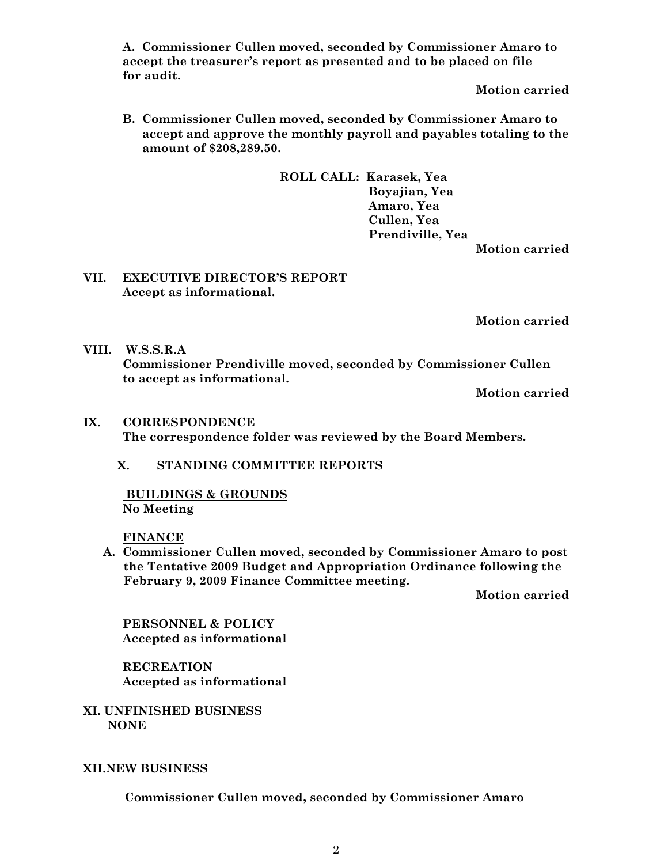**A. Commissioner Cullen moved, seconded by Commissioner Amaro to accept the treasurer's report as presented and to be placed on file for audit.**

**Motion carried**

**B. Commissioner Cullen moved, seconded by Commissioner Amaro to accept and approve the monthly payroll and payables totaling to the amount of \$208,289.50.**

> **ROLL CALL: Karasek, Yea Boyajian, Yea Amaro, Yea Cullen, Yea Prendiville, Yea**

**Motion carried**

# **VII. EXECUTIVE DIRECTOR'S REPORT Accept as informational.**

**Motion carried**

**VIII. W.S.S.R.A Commissioner Prendiville moved, seconded by Commissioner Cullen to accept as informational.**

**Motion carried**

- **IX. CORRESPONDENCE The correspondence folder was reviewed by the Board Members.**
	- **X. STANDING COMMITTEE REPORTS**

 **BUILDINGS & GROUNDS No Meeting**

**FINANCE**

**A. Commissioner Cullen moved, seconded by Commissioner Amaro to post the Tentative 2009 Budget and Appropriation Ordinance following the February 9, 2009 Finance Committee meeting.**

**Motion carried**

**PERSONNEL & POLICY Accepted as informational**

**RECREATION Accepted as informational**

**XI. UNFINISHED BUSINESS NONE**

## **XII.NEW BUSINESS**

 **Commissioner Cullen moved, seconded by Commissioner Amaro**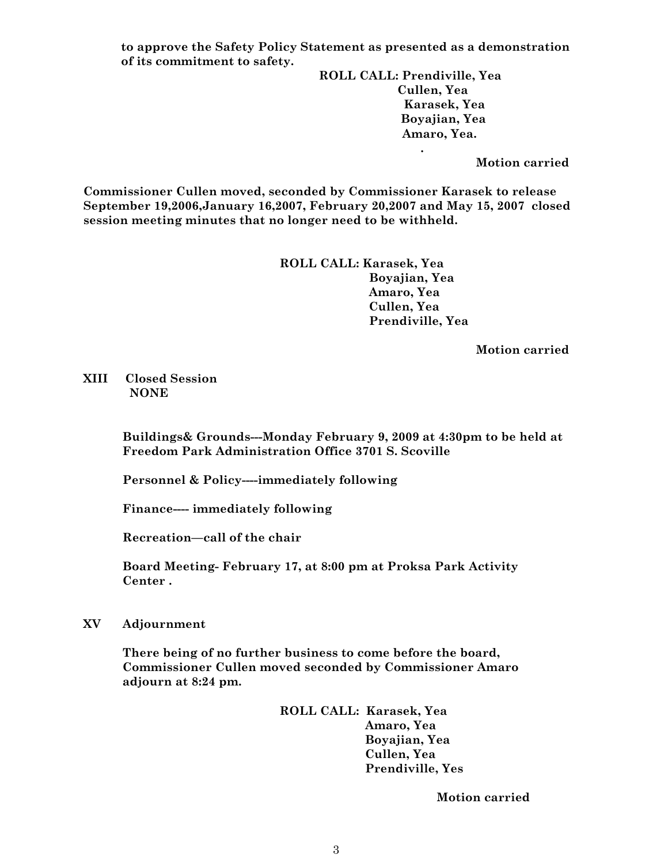**to approve the Safety Policy Statement as presented as a demonstration of its commitment to safety.** 

> **ROLL CALL: Prendiville, Yea Cullen, Yea Karasek, Yea Boyajian, Yea Amaro, Yea.**

> > **Motion carried**

**Commissioner Cullen moved, seconded by Commissioner Karasek to release September 19,2006,January 16,2007, February 20,2007 and May 15, 2007 closed session meeting minutes that no longer need to be withheld.**

> **ROLL CALL: Karasek, Yea Boyajian, Yea Amaro, Yea Cullen, Yea Prendiville, Yea**

> > **Motion carried**

**XIII Closed Session NONE**

> **Buildings& Grounds---Monday February 9, 2009 at 4:30pm to be held at Freedom Park Administration Office 3701 S. Scoville**

**Personnel & Policy----immediately following**

 **.** 

**Finance---- immediately following**

**Recreation—call of the chair**

**Board Meeting- February 17, at 8:00 pm at Proksa Park Activity Center .**

### **XV Adjournment**

**There being of no further business to come before the board, Commissioner Cullen moved seconded by Commissioner Amaro adjourn at 8:24 pm.**

> **ROLL CALL: Karasek, Yea Amaro, Yea Boyajian, Yea Cullen, Yea Prendiville, Yes**

> > **Motion carried**